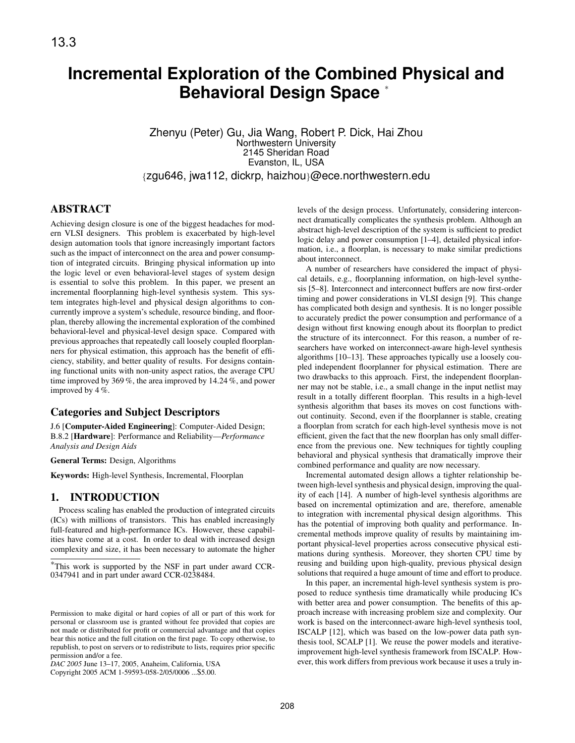# **Incremental Exploration of the Combined Physical and Behavioral Design Space** <sup>∗</sup>

Zhenyu (Peter) Gu, Jia Wang, Robert P. Dick, Hai Zhou Northwestern University 2145 Sheridan Road Evanston, IL, USA {zgu646, jwa112, dickrp, haizhou}@ece.northwestern.edu

## ABSTRACT

Achieving design closure is one of the biggest headaches for modern VLSI designers. This problem is exacerbated by high-level design automation tools that ignore increasingly important factors such as the impact of interconnect on the area and power consumption of integrated circuits. Bringing physical information up into the logic level or even behavioral-level stages of system design is essential to solve this problem. In this paper, we present an incremental floorplanning high-level synthesis system. This system integrates high-level and physical design algorithms to concurrently improve a system's schedule, resource binding, and floorplan, thereby allowing the incremental exploration of the combined behavioral-level and physical-level design space. Compared with previous approaches that repeatedly call loosely coupled floorplanners for physical estimation, this approach has the benefit of efficiency, stability, and better quality of results. For designs containing functional units with non-unity aspect ratios, the average CPU time improved by 369 %, the area improved by 14.24 %, and power improved by 4 %.

## Categories and Subject Descriptors

J.6 [Computer-Aided Engineering]: Computer-Aided Design; B.8.2 [Hardware]: Performance and Reliability—*Performance Analysis and Design Aids*

General Terms: Design, Algorithms

Keywords: High-level Synthesis, Incremental, Floorplan

## 1. INTRODUCTION

Process scaling has enabled the production of integrated circuits (ICs) with millions of transistors. This has enabled increasingly full-featured and high-performance ICs. However, these capabilities have come at a cost. In order to deal with increased design complexity and size, it has been necessary to automate the higher

Copyright 2005 ACM 1-59593-058-2/05/0006 ...\$5.00.

levels of the design process. Unfortunately, considering interconnect dramatically complicates the synthesis problem. Although an abstract high-level description of the system is sufficient to predict logic delay and power consumption [1–4], detailed physical information, i.e., a floorplan, is necessary to make similar predictions about interconnect.

A number of researchers have considered the impact of physical details, e.g., floorplanning information, on high-level synthesis [5–8]. Interconnect and interconnect buffers are now first-order timing and power considerations in VLSI design [9]. This change has complicated both design and synthesis. It is no longer possible to accurately predict the power consumption and performance of a design without first knowing enough about its floorplan to predict the structure of its interconnect. For this reason, a number of researchers have worked on interconnect-aware high-level synthesis algorithms [10–13]. These approaches typically use a loosely coupled independent floorplanner for physical estimation. There are two drawbacks to this approach. First, the independent floorplanner may not be stable, i.e., a small change in the input netlist may result in a totally different floorplan. This results in a high-level synthesis algorithm that bases its moves on cost functions without continuity. Second, even if the floorplanner is stable, creating a floorplan from scratch for each high-level synthesis move is not efficient, given the fact that the new floorplan has only small difference from the previous one. New techniques for tightly coupling behavioral and physical synthesis that dramatically improve their combined performance and quality are now necessary.

Incremental automated design allows a tighter relationship between high-level synthesis and physical design, improving the quality of each [14]. A number of high-level synthesis algorithms are based on incremental optimization and are, therefore, amenable to integration with incremental physical design algorithms. This has the potential of improving both quality and performance. Incremental methods improve quality of results by maintaining important physical-level properties across consecutive physical estimations during synthesis. Moreover, they shorten CPU time by reusing and building upon high-quality, previous physical design solutions that required a huge amount of time and effort to produce.

In this paper, an incremental high-level synthesis system is proposed to reduce synthesis time dramatically while producing ICs with better area and power consumption. The benefits of this approach increase with increasing problem size and complexity. Our work is based on the interconnect-aware high-level synthesis tool, ISCALP [12], which was based on the low-power data path synthesis tool, SCALP [1]. We reuse the power models and iterativeimprovement high-level synthesis framework from ISCALP. However, this work differs from previous work because it uses a truly in-

<sup>∗</sup>This work is supported by the NSF in part under award CCR-0347941 and in part under award CCR-0238484.

Permission to make digital or hard copies of all or part of this work for personal or classroom use is granted without fee provided that copies are not made or distributed for profit or commercial advantage and that copies bear this notice and the full citation on the first page. To copy otherwise, to republish, to post on servers or to redistribute to lists, requires prior specific permission and/or a fee.

*DAC 2005* June 13–17, 2005, Anaheim, California, USA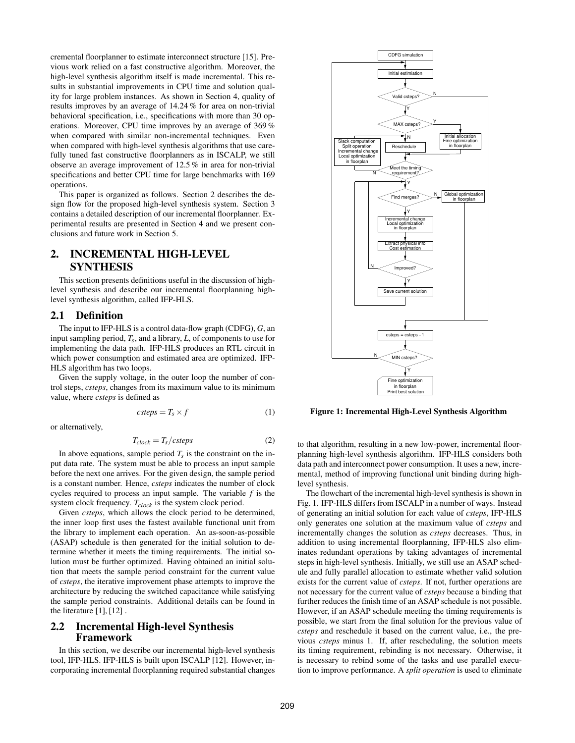cremental floorplanner to estimate interconnect structure [15]. Previous work relied on a fast constructive algorithm. Moreover, the high-level synthesis algorithm itself is made incremental. This results in substantial improvements in CPU time and solution quality for large problem instances. As shown in Section 4, quality of results improves by an average of 14.24 % for area on non-trivial behavioral specification, i.e., specifications with more than 30 operations. Moreover, CPU time improves by an average of 369 % when compared with similar non-incremental techniques. Even when compared with high-level synthesis algorithms that use carefully tuned fast constructive floorplanners as in ISCALP, we still observe an average improvement of 12.5 % in area for non-trivial specifications and better CPU time for large benchmarks with 169 operations.

This paper is organized as follows. Section 2 describes the design flow for the proposed high-level synthesis system. Section 3 contains a detailed description of our incremental floorplanner. Experimental results are presented in Section 4 and we present conclusions and future work in Section 5.

# 2. INCREMENTAL HIGH-LEVEL SYNTHESIS

This section presents definitions useful in the discussion of highlevel synthesis and describe our incremental floorplanning highlevel synthesis algorithm, called IFP-HLS.

### 2.1 Definition

The input to IFP-HLS is a control data-flow graph (CDFG), *G*, an input sampling period, *Ts*, and a library, *L*, of components to use for implementing the data path. IFP-HLS produces an RTL circuit in which power consumption and estimated area are optimized. IFP-HLS algorithm has two loops.

Given the supply voltage, in the outer loop the number of control steps, *csteps*, changes from its maximum value to its minimum value, where *csteps* is defined as

$$
csteps = T_s \times f \tag{1}
$$

or alternatively,

$$
T_{clock} = T_s/csteps
$$
 (2)

In above equations, sample period  $T_s$  is the constraint on the input data rate. The system must be able to process an input sample before the next one arrives. For the given design, the sample period is a constant number. Hence, *csteps* indicates the number of clock cycles required to process an input sample. The variable *f* is the system clock frequency. *Tclock* is the system clock period.

Given *csteps*, which allows the clock period to be determined, the inner loop first uses the fastest available functional unit from the library to implement each operation. An as-soon-as-possible (ASAP) schedule is then generated for the initial solution to determine whether it meets the timing requirements. The initial solution must be further optimized. Having obtained an initial solution that meets the sample period constraint for the current value of *csteps*, the iterative improvement phase attempts to improve the architecture by reducing the switched capacitance while satisfying the sample period constraints. Additional details can be found in the literature  $[1]$ ,  $[12]$ .

## 2.2 Incremental High-level Synthesis Framework

In this section, we describe our incremental high-level synthesis tool, IFP-HLS. IFP-HLS is built upon ISCALP [12]. However, incorporating incremental floorplanning required substantial changes



Figure 1: Incremental High-Level Synthesis Algorithm

to that algorithm, resulting in a new low-power, incremental floorplanning high-level synthesis algorithm. IFP-HLS considers both data path and interconnect power consumption. It uses a new, incremental, method of improving functional unit binding during highlevel synthesis.

The flowchart of the incremental high-level synthesis is shown in Fig. 1. IFP-HLS differs from ISCALP in a number of ways. Instead of generating an initial solution for each value of *csteps*, IFP-HLS only generates one solution at the maximum value of *csteps* and incrementally changes the solution as *csteps* decreases. Thus, in addition to using incremental floorplanning, IFP-HLS also eliminates redundant operations by taking advantages of incremental steps in high-level synthesis. Initially, we still use an ASAP schedule and fully parallel allocation to estimate whether valid solution exists for the current value of *csteps*. If not, further operations are not necessary for the current value of *csteps* because a binding that further reduces the finish time of an ASAP schedule is not possible. However, if an ASAP schedule meeting the timing requirements is possible, we start from the final solution for the previous value of *csteps* and reschedule it based on the current value, i.e., the previous *csteps* minus 1. If, after rescheduling, the solution meets its timing requirement, rebinding is not necessary. Otherwise, it is necessary to rebind some of the tasks and use parallel execution to improve performance. A *split operation* is used to eliminate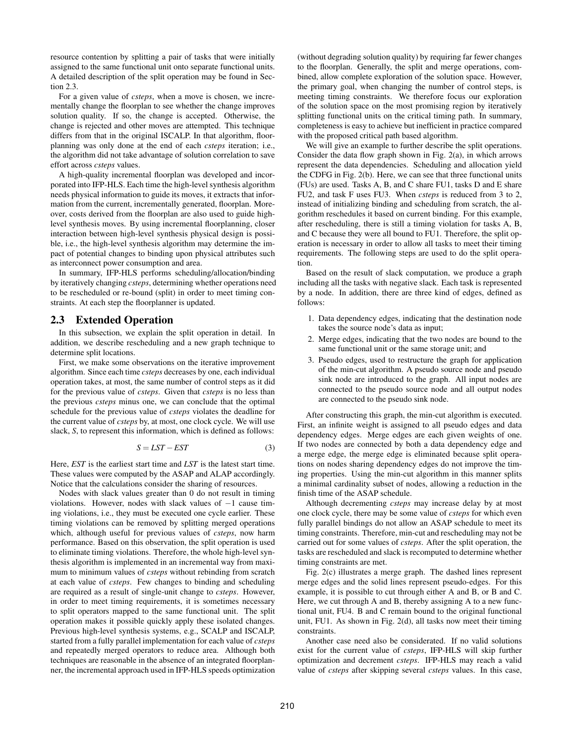resource contention by splitting a pair of tasks that were initially assigned to the same functional unit onto separate functional units. A detailed description of the split operation may be found in Section 2.3.

For a given value of *csteps*, when a move is chosen, we incrementally change the floorplan to see whether the change improves solution quality. If so, the change is accepted. Otherwise, the change is rejected and other moves are attempted. This technique differs from that in the original ISCALP. In that algorithm, floorplanning was only done at the end of each *csteps* iteration; i.e., the algorithm did not take advantage of solution correlation to save effort across *csteps* values.

A high-quality incremental floorplan was developed and incorporated into IFP-HLS. Each time the high-level synthesis algorithm needs physical information to guide its moves, it extracts that information from the current, incrementally generated, floorplan. Moreover, costs derived from the floorplan are also used to guide highlevel synthesis moves. By using incremental floorplanning, closer interaction between high-level synthesis physical design is possible, i.e., the high-level synthesis algorithm may determine the impact of potential changes to binding upon physical attributes such as interconnect power consumption and area.

In summary, IFP-HLS performs scheduling/allocation/binding by iteratively changing *csteps*, determining whether operations need to be rescheduled or re-bound (split) in order to meet timing constraints. At each step the floorplanner is updated.

## 2.3 Extended Operation

In this subsection, we explain the split operation in detail. In addition, we describe rescheduling and a new graph technique to determine split locations.

First, we make some observations on the iterative improvement algorithm. Since each time *csteps* decreases by one, each individual operation takes, at most, the same number of control steps as it did for the previous value of *csteps*. Given that *csteps* is no less than the previous *csteps* minus one, we can conclude that the optimal schedule for the previous value of *csteps* violates the deadline for the current value of *csteps* by, at most, one clock cycle. We will use slack, *S*, to represent this information, which is defined as follows:

$$
S = LST - EST \tag{3}
$$

Here, *EST* is the earliest start time and *LST* is the latest start time. These values were computed by the ASAP and ALAP accordingly. Notice that the calculations consider the sharing of resources.

Nodes with slack values greater than 0 do not result in timing violations. However, nodes with slack values of  $-1$  cause timing violations, i.e., they must be executed one cycle earlier. These timing violations can be removed by splitting merged operations which, although useful for previous values of *csteps*, now harm performance. Based on this observation, the split operation is used to eliminate timing violations. Therefore, the whole high-level synthesis algorithm is implemented in an incremental way from maximum to minimum values of *csteps* without rebinding from scratch at each value of *csteps*. Few changes to binding and scheduling are required as a result of single-unit change to *csteps*. However, in order to meet timing requirements, it is sometimes necessary to split operators mapped to the same functional unit. The split operation makes it possible quickly apply these isolated changes. Previous high-level synthesis systems, e.g., SCALP and ISCALP, started from a fully parallel implementation for each value of *csteps* and repeatedly merged operators to reduce area. Although both techniques are reasonable in the absence of an integrated floorplanner, the incremental approach used in IFP-HLS speeds optimization (without degrading solution quality) by requiring far fewer changes to the floorplan. Generally, the split and merge operations, combined, allow complete exploration of the solution space. However, the primary goal, when changing the number of control steps, is meeting timing constraints. We therefore focus our exploration of the solution space on the most promising region by iteratively splitting functional units on the critical timing path. In summary, completeness is easy to achieve but inefficient in practice compared with the proposed critical path based algorithm.

We will give an example to further describe the split operations. Consider the data flow graph shown in Fig. 2(a), in which arrows represent the data dependencies. Scheduling and allocation yield the CDFG in Fig. 2(b). Here, we can see that three functional units (FUs) are used. Tasks A, B, and C share FU1, tasks D and E share FU2, and task F uses FU3. When *csteps* is reduced from 3 to 2, instead of initializing binding and scheduling from scratch, the algorithm reschedules it based on current binding. For this example, after rescheduling, there is still a timing violation for tasks A, B, and C because they were all bound to FU1. Therefore, the split operation is necessary in order to allow all tasks to meet their timing requirements. The following steps are used to do the split operation.

Based on the result of slack computation, we produce a graph including all the tasks with negative slack. Each task is represented by a node. In addition, there are three kind of edges, defined as follows:

- 1. Data dependency edges, indicating that the destination node takes the source node's data as input;
- 2. Merge edges, indicating that the two nodes are bound to the same functional unit or the same storage unit; and
- 3. Pseudo edges, used to restructure the graph for application of the min-cut algorithm. A pseudo source node and pseudo sink node are introduced to the graph. All input nodes are connected to the pseudo source node and all output nodes are connected to the pseudo sink node.

After constructing this graph, the min-cut algorithm is executed. First, an infinite weight is assigned to all pseudo edges and data dependency edges. Merge edges are each given weights of one. If two nodes are connected by both a data dependency edge and a merge edge, the merge edge is eliminated because split operations on nodes sharing dependency edges do not improve the timing properties. Using the min-cut algorithm in this manner splits a minimal cardinality subset of nodes, allowing a reduction in the finish time of the ASAP schedule.

Although decrementing *csteps* may increase delay by at most one clock cycle, there may be some value of *csteps* for which even fully parallel bindings do not allow an ASAP schedule to meet its timing constraints. Therefore, min-cut and rescheduling may not be carried out for some values of *csteps*. After the split operation, the tasks are rescheduled and slack is recomputed to determine whether timing constraints are met.

Fig. 2(c) illustrates a merge graph. The dashed lines represent merge edges and the solid lines represent pseudo-edges. For this example, it is possible to cut through either A and B, or B and C. Here, we cut through A and B, thereby assigning A to a new functional unit, FU4. B and C remain bound to the original functional unit, FU1. As shown in Fig. 2(d), all tasks now meet their timing constraints.

Another case need also be considerated. If no valid solutions exist for the current value of *csteps*, IFP-HLS will skip further optimization and decrement *csteps*. IFP-HLS may reach a valid value of *csteps* after skipping several *csteps* values. In this case,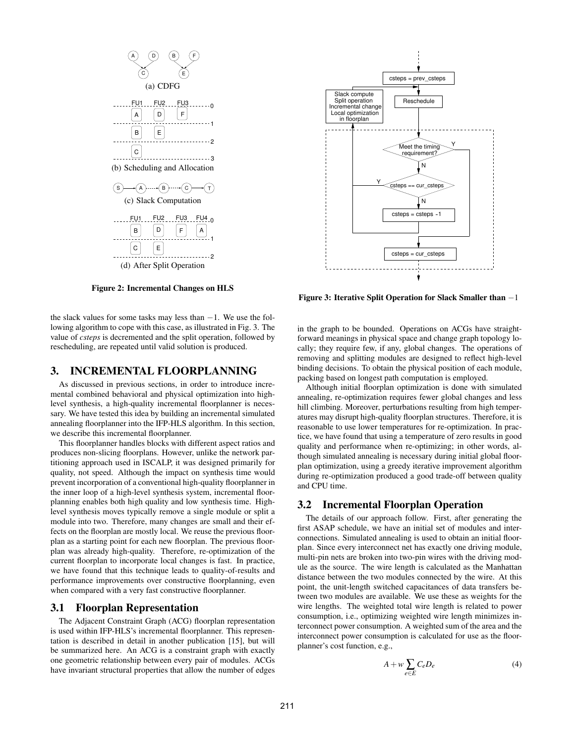

Figure 2: Incremental Changes on HLS

the slack values for some tasks may less than  $-1$ . We use the following algorithm to cope with this case, as illustrated in Fig. 3. The value of *csteps* is decremented and the split operation, followed by rescheduling, are repeated until valid solution is produced.

## 3. INCREMENTAL FLOORPLANNING

As discussed in previous sections, in order to introduce incremental combined behavioral and physical optimization into highlevel synthesis, a high-quality incremental floorplanner is necessary. We have tested this idea by building an incremental simulated annealing floorplanner into the IFP-HLS algorithm. In this section, we describe this incremental floorplanner.

This floorplanner handles blocks with different aspect ratios and produces non-slicing floorplans. However, unlike the network partitioning approach used in ISCALP, it was designed primarily for quality, not speed. Although the impact on synthesis time would prevent incorporation of a conventional high-quality floorplanner in the inner loop of a high-level synthesis system, incremental floorplanning enables both high quality and low synthesis time. Highlevel synthesis moves typically remove a single module or split a module into two. Therefore, many changes are small and their effects on the floorplan are mostly local. We reuse the previous floorplan as a starting point for each new floorplan. The previous floorplan was already high-quality. Therefore, re-optimization of the current floorplan to incorporate local changes is fast. In practice, we have found that this technique leads to quality-of-results and performance improvements over constructive floorplanning, even when compared with a very fast constructive floorplanner.

#### 3.1 Floorplan Representation

The Adjacent Constraint Graph (ACG) floorplan representation is used within IFP-HLS's incremental floorplanner. This representation is described in detail in another publication [15], but will be summarized here. An ACG is a constraint graph with exactly one geometric relationship between every pair of modules. ACGs have invariant structural properties that allow the number of edges



Figure 3: Iterative Split Operation for Slack Smaller than −1

in the graph to be bounded. Operations on ACGs have straightforward meanings in physical space and change graph topology locally; they require few, if any, global changes. The operations of removing and splitting modules are designed to reflect high-level binding decisions. To obtain the physical position of each module, packing based on longest path computation is employed.

Although initial floorplan optimization is done with simulated annealing, re-optimization requires fewer global changes and less hill climbing. Moreover, perturbations resulting from high temperatures may disrupt high-quality floorplan structures. Therefore, it is reasonable to use lower temperatures for re-optimization. In practice, we have found that using a temperature of zero results in good quality and performance when re-optimizing; in other words, although simulated annealing is necessary during initial global floorplan optimization, using a greedy iterative improvement algorithm during re-optimization produced a good trade-off between quality and CPU time.

## 3.2 Incremental Floorplan Operation

The details of our approach follow. First, after generating the first ASAP schedule, we have an initial set of modules and interconnections. Simulated annealing is used to obtain an initial floorplan. Since every interconnect net has exactly one driving module, multi-pin nets are broken into two-pin wires with the driving module as the source. The wire length is calculated as the Manhattan distance between the two modules connected by the wire. At this point, the unit-length switched capacitances of data transfers between two modules are available. We use these as weights for the wire lengths. The weighted total wire length is related to power consumption, i.e., optimizing weighted wire length minimizes interconnect power consumption. A weighted sum of the area and the interconnect power consumption is calculated for use as the floorplanner's cost function, e.g.,

$$
A + w \sum_{e \in E} C_e D_e \tag{4}
$$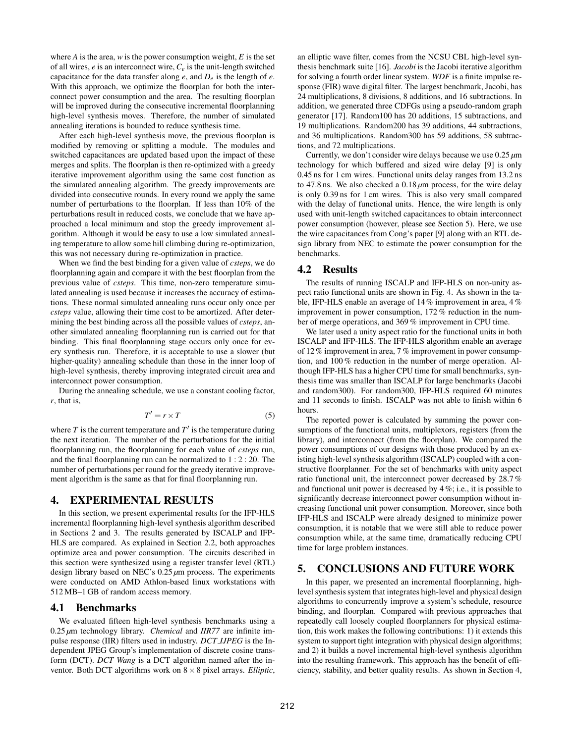where  $A$  is the area,  $w$  is the power consumption weight,  $E$  is the set of all wires, *e* is an interconnect wire, *Ce* is the unit-length switched capacitance for the data transfer along  $e$ , and  $D_e$  is the length of  $e$ . With this approach, we optimize the floorplan for both the interconnect power consumption and the area. The resulting floorplan will be improved during the consecutive incremental floorplanning high-level synthesis moves. Therefore, the number of simulated annealing iterations is bounded to reduce synthesis time.

After each high-level synthesis move, the previous floorplan is modified by removing or splitting a module. The modules and switched capacitances are updated based upon the impact of these merges and splits. The floorplan is then re-optimized with a greedy iterative improvement algorithm using the same cost function as the simulated annealing algorithm. The greedy improvements are divided into consecutive rounds. In every round we apply the same number of perturbations to the floorplan. If less than 10% of the perturbations result in reduced costs, we conclude that we have approached a local minimum and stop the greedy improvement algorithm. Although it would be easy to use a low simulated annealing temperature to allow some hill climbing during re-optimization, this was not necessary during re-optimization in practice.

When we find the best binding for a given value of *csteps*, we do floorplanning again and compare it with the best floorplan from the previous value of *csteps*. This time, non-zero temperature simulated annealing is used because it increases the accuracy of estimations. These normal simulated annealing runs occur only once per *csteps* value, allowing their time cost to be amortized. After determining the best binding across all the possible values of *csteps*, another simulated annealing floorplanning run is carried out for that binding. This final floorplanning stage occurs only once for every synthesis run. Therefore, it is acceptable to use a slower (but higher-quality) annealing schedule than those in the inner loop of high-level synthesis, thereby improving integrated circuit area and interconnect power consumption.

During the annealing schedule, we use a constant cooling factor, *r*, that is,

$$
T' = r \times T \tag{5}
$$

where  $T$  is the current temperature and  $T'$  is the temperature during the next iteration. The number of the perturbations for the initial floorplanning run, the floorplanning for each value of *csteps* run, and the final floorplanning run can be normalized to 1 : 2 : 20. The number of perturbations per round for the greedy iterative improvement algorithm is the same as that for final floorplanning run.

## 4. EXPERIMENTAL RESULTS

In this section, we present experimental results for the IFP-HLS incremental floorplanning high-level synthesis algorithm described in Sections 2 and 3. The results generated by ISCALP and IFP-HLS are compared. As explained in Section 2.2, both approaches optimize area and power consumption. The circuits described in this section were synthesized using a register transfer level (RTL) design library based on NEC's 0.25 *µ*m process. The experiments were conducted on AMD Athlon-based linux workstations with 512 MB–1 GB of random access memory.

#### 4.1 Benchmarks

We evaluated fifteen high-level synthesis benchmarks using a 0.25 *µ*m technology library. *Chemical* and *IIR77* are infinite impulse response (IIR) filters used in industry. *DCT IJPEG* is the Independent JPEG Group's implementation of discrete cosine transform (DCT). *DCT Wang* is a DCT algorithm named after the inventor. Both DCT algorithms work on 8×8 pixel arrays. *Elliptic*, an elliptic wave filter, comes from the NCSU CBL high-level synthesis benchmark suite [16]. *Jacobi* is the Jacobi iterative algorithm for solving a fourth order linear system. *WDF* is a finite impulse response (FIR) wave digital filter. The largest benchmark, Jacobi, has 24 multiplications, 8 divisions, 8 additions, and 16 subtractions. In addition, we generated three CDFGs using a pseudo-random graph generator [17]. Random100 has 20 additions, 15 subtractions, and 19 multiplications. Random200 has 39 additions, 44 subtractions, and 36 multiplications. Random300 has 59 additions, 58 subtractions, and 72 multiplications.

Currently, we don't consider wire delays because we use 0.25 *µ*m technology for which buffered and sized wire delay [9] is only 0.45 ns for 1 cm wires. Functional units delay ranges from 13.2 ns to 47.8 ns. We also checked a 0.18 *µ*m process, for the wire delay is only 0.39 ns for 1 cm wires. This is also very small compared with the delay of functional units. Hence, the wire length is only used with unit-length switched capacitances to obtain interconnect power consumption (however, please see Section 5). Here, we use the wire capacitances from Cong's paper [9] along with an RTL design library from NEC to estimate the power consumption for the benchmarks.

#### 4.2 Results

The results of running ISCALP and IFP-HLS on non-unity aspect ratio functional units are shown in Fig. 4. As shown in the table, IFP-HLS enable an average of 14% improvement in area, 4% improvement in power consumption, 172 % reduction in the number of merge operations, and 369 % improvement in CPU time.

We later used a unity aspect ratio for the functional units in both ISCALP and IFP-HLS. The IFP-HLS algorithm enable an average of 12% improvement in area, 7 % improvement in power consumption, and 100 % reduction in the number of merge operation. Although IFP-HLS has a higher CPU time for small benchmarks, synthesis time was smaller than ISCALP for large benchmarks (Jacobi and random300). For random300, IFP-HLS required 60 minutes and 11 seconds to finish. ISCALP was not able to finish within 6 hours.

The reported power is calculated by summing the power consumptions of the functional units, multiplexors, registers (from the library), and interconnect (from the floorplan). We compared the power consumptions of our designs with those produced by an existing high-level synthesis algorithm (ISCALP) coupled with a constructive floorplanner. For the set of benchmarks with unity aspect ratio functional unit, the interconnect power decreased by 28.7 % and functional unit power is decreased by 4 %; i.e., it is possible to significantly decrease interconnect power consumption without increasing functional unit power consumption. Moreover, since both IFP-HLS and ISCALP were already designed to minimize power consumption, it is notable that we were still able to reduce power consumption while, at the same time, dramatically reducing CPU time for large problem instances.

## 5. CONCLUSIONS AND FUTURE WORK

In this paper, we presented an incremental floorplanning, highlevel synthesis system that integrates high-level and physical design algorithms to concurrently improve a system's schedule, resource binding, and floorplan. Compared with previous approaches that repeatedly call loosely coupled floorplanners for physical estimation, this work makes the following contributions: 1) it extends this system to support tight integration with physical design algorithms; and 2) it builds a novel incremental high-level synthesis algorithm into the resulting framework. This approach has the benefit of efficiency, stability, and better quality results. As shown in Section 4,